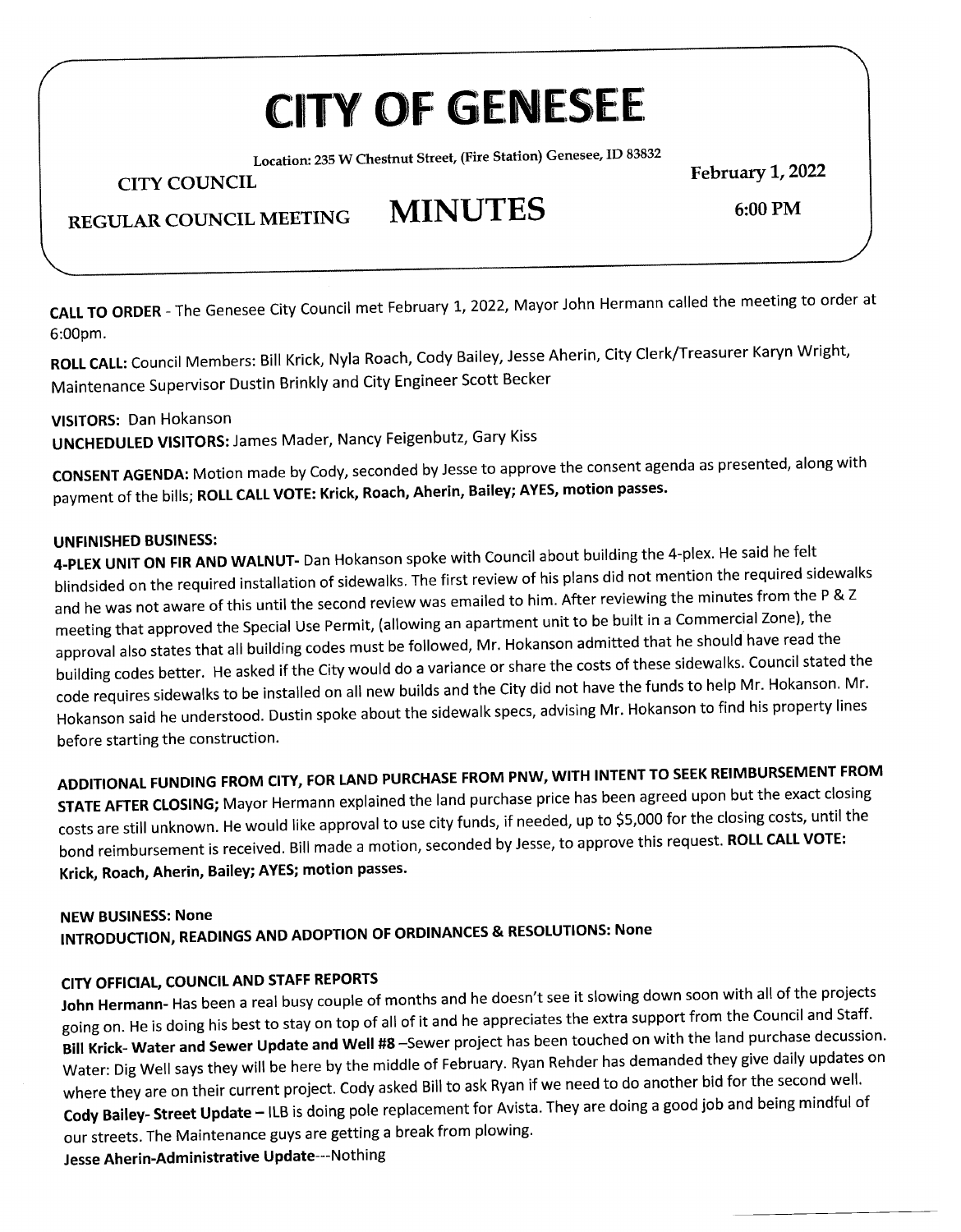# **CITY OF GENESEE**

**Location: 235 W Chestnut Street, (Fire Station) Genesee, ID 83832** 

**CITY COUNCIL** 

**February 1, 2022 6:00PM** 

## **REGULAR COUNCIL MEETING MINUTES**

**CALL TO ORDER -** The Genesee City Council met February 1, 2022, Mayor John Hermann called the meeting to order at ILI IU UI

**ROLL CALL:** Council Members: Bill Krick, Nyla Roach, Cody Bailey, Jesse Aherin, City Clerk/Treasurer Karyn Wright, ILL CALL: Council Members: Bill Krick, Nyla Roach, Couy Daney, Jesse And<br>مستخدم العام العام العام العام العام العام العام العام العام العام 1950 العام 1972.

**VISITORS:** Dan Hokanson **UNCHEDULED VISITORS:** James Mader, Nancy Feigenbutz, Gary Kiss

**CONSENT AGENDA:** Motion made by Cody, seconded by Jesse to approve the consent agenda as presented, along with payment of the bills; **ROLL CALL VOTE: Krick, Roach, Aherin, Bailey; AYES, motion passes.** 

#### **UNFINISHED BUSINESS:**

**4-PLEX UNIT ON FIR AND WALNUT-** Dan Hokanson spoke with Council about building the 4-plex. He said he felt blindsided on the required installation of sidewalks. The first review of his plans did not mention the required sidewalks and he was not aware of this until the second review was emailed to him. After reviewing the minutes from the P & <sup>Z</sup> meeting that approved the Special Use Permit, (allowing an apartment unit to be built in a Commercial Zone), the approval also states that all building codes must be followed, Mr. Hokanson admitted that he should have read the building codes better. He asked if the City would do a variance or share the costs of these sidewalks. Council stated the code requires sidewalks to be installed on all new builds and the City did not have the funds to help Mr. Hokanson. Mr. de requires sidewalks to be installed on all flew builds and the city did not have the failer center.<br>Dusting the sidewalks to be understanding the sidewalk specs, advising Mr. Hokanson to find his property lines before starting the understood. Dust<br>The construction

**ADDITIONAL FUNDING FROM CITY, FOR LAND PURCHASE FROM PNW, WITH INTENT TO SEEK REIMBURSEMENT FROM STATE AFTER CLOSING;** Mayor Hermann explained the land purchase price has been agreed upon but the exact closing costs are still unknown. He would like approval to use city funds, if needed, up to \$5,000 for the closing costs, until the bond reimbursement is received. Bill made a motion, seconded by Jesse, to approve this request. **ROLL CALL VOTE:**  ond reimbursement is received, bill made a motion

### **NEW BUSINESS: None INTRODUCTION, READINGS AND ADOPTION OF ORDINANCES** & **RESOLUTIONS: None**

### **CITY OFFICIAL, COUNCIL AND STAFF REPORTS**

**John Hermann-** Has been a real busy couple of months and he doesn't see it slowing down soon with all of the projects going on. He is doing his best to stay on top of all of it and he appreciates the extra support from the Council and Staff. **Bill Krick- Water and Sewer Update and Well #8** -Sewer project has been touched on with the land purchase decussion. Water: Dig Well says they will be here by the middle of February. Ryan Rehder has demanded they give daily updates on where they are on their current project. Cody asked Bill to ask Ryan if we need to do another bid for the second well. where they are on their current project. Cody asked Bill to ask Nyall if we heed to do another bid to the second man<br>Cody are doing a good job and being mindful of Cody Bailey- Street Update – ILB IS doing pole replacement for Avista<br>The Maintenance guys are gatting a break from plowing. our streets. The Maintenance guys are getting a break from plowing.<br>Jesse Aherin-Administrative Update---Nothing